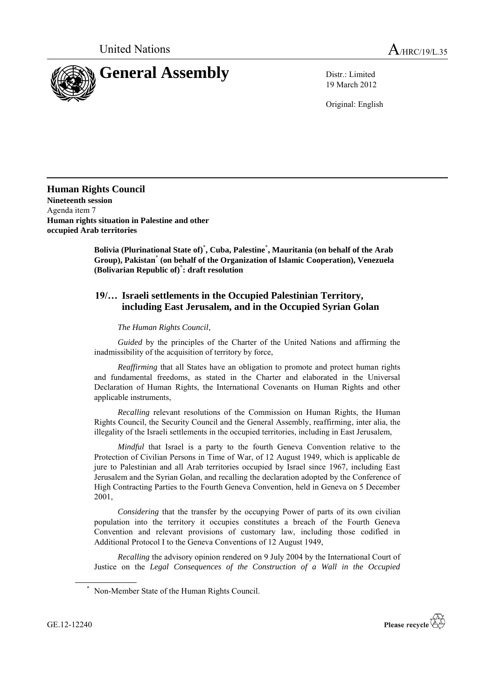

19 March 2012

Original: English

**Human Rights Council Nineteenth session** Agenda item 7 **Human rights situation in Palestine and other occupied Arab territories**

> **Bolivia (Plurinational State of)**\* **, Cuba, Palestine**\* **, Mauritania (on behalf of the Arab Group), Pakistan**\* **(on behalf of the Organization of Islamic Cooperation), Venezuela (Bolivarian Republic of)**\* **: draft resolution**

## **19/… Israeli settlements in the Occupied Palestinian Territory, including East Jerusalem, and in the Occupied Syrian Golan**

## *The Human Rights Council*,

*Guided* by the principles of the Charter of the United Nations and affirming the inadmissibility of the acquisition of territory by force,

*Reaffirming* that all States have an obligation to promote and protect human rights and fundamental freedoms, as stated in the Charter and elaborated in the Universal Declaration of Human Rights, the International Covenants on Human Rights and other applicable instruments,

*Recalling* relevant resolutions of the Commission on Human Rights, the Human Rights Council, the Security Council and the General Assembly, reaffirming, inter alia, the illegality of the Israeli settlements in the occupied territories, including in East Jerusalem,

*Mindful* that Israel is a party to the fourth Geneva Convention relative to the Protection of Civilian Persons in Time of War, of 12 August 1949, which is applicable de jure to Palestinian and all Arab territories occupied by Israel since 1967, including East Jerusalem and the Syrian Golan, and recalling the declaration adopted by the Conference of High Contracting Parties to the Fourth Geneva Convention, held in Geneva on 5 December 2001,

*Considering* that the transfer by the occupying Power of parts of its own civilian population into the territory it occupies constitutes a breach of the Fourth Geneva Convention and relevant provisions of customary law, including those codified in Additional Protocol I to the Geneva Conventions of 12 August 1949,

*Recalling* the advisory opinion rendered on 9 July 2004 by the International Court of Justice on the *Legal Consequences of the Construction of a Wall in the Occupied*



<sup>\*</sup> Non-Member State of the Human Rights Council.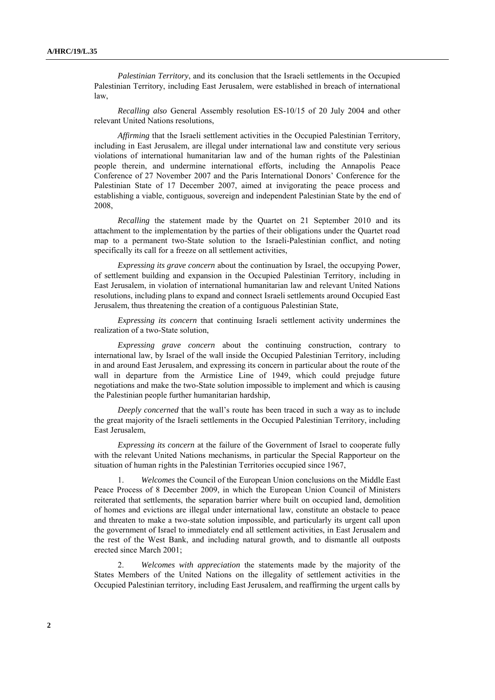*Palestinian Territory*, and its conclusion that the Israeli settlements in the Occupied Palestinian Territory, including East Jerusalem, were established in breach of international law,

*Recalling also* General Assembly resolution ES-10/15 of 20 July 2004 and other relevant United Nations resolutions,

*Affirming* that the Israeli settlement activities in the Occupied Palestinian Territory, including in East Jerusalem, are illegal under international law and constitute very serious violations of international humanitarian law and of the human rights of the Palestinian people therein, and undermine international efforts, including the Annapolis Peace Conference of 27 November 2007 and the Paris International Donors' Conference for the Palestinian State of 17 December 2007, aimed at invigorating the peace process and establishing a viable, contiguous, sovereign and independent Palestinian State by the end of 2008,

*Recalling* the statement made by the Quartet on 21 September 2010 and its attachment to the implementation by the parties of their obligations under the Quartet road map to a permanent two-State solution to the Israeli-Palestinian conflict, and noting specifically its call for a freeze on all settlement activities,

*Expressing its grave concern* about the continuation by Israel, the occupying Power, of settlement building and expansion in the Occupied Palestinian Territory, including in East Jerusalem, in violation of international humanitarian law and relevant United Nations resolutions, including plans to expand and connect Israeli settlements around Occupied East Jerusalem, thus threatening the creation of a contiguous Palestinian State,

*Expressing its concern* that continuing Israeli settlement activity undermines the realization of a two-State solution,

*Expressing grave concern* about the continuing construction, contrary to international law, by Israel of the wall inside the Occupied Palestinian Territory, including in and around East Jerusalem, and expressing its concern in particular about the route of the wall in departure from the Armistice Line of 1949, which could prejudge future negotiations and make the two-State solution impossible to implement and which is causing the Palestinian people further humanitarian hardship,

*Deeply concerned* that the wall's route has been traced in such a way as to include the great majority of the Israeli settlements in the Occupied Palestinian Territory, including East Jerusalem,

*Expressing its concern* at the failure of the Government of Israel to cooperate fully with the relevant United Nations mechanisms, in particular the Special Rapporteur on the situation of human rights in the Palestinian Territories occupied since 1967,

*Welcomes* the Council of the European Union conclusions on the Middle East Peace Process of 8 December 2009, in which the European Union Council of Ministers reiterated that settlements, the separation barrier where built on occupied land, demolition of homes and evictions are illegal under international law, constitute an obstacle to peace and threaten to make a two-state solution impossible, and particularly its urgent call upon the government of Israel to immediately end all settlement activities, in East Jerusalem and the rest of the West Bank, and including natural growth, and to dismantle all outposts erected since March 2001;

2. *Welcomes with appreciation* the statements made by the majority of the States Members of the United Nations on the illegality of settlement activities in the Occupied Palestinian territory, including East Jerusalem, and reaffirming the urgent calls by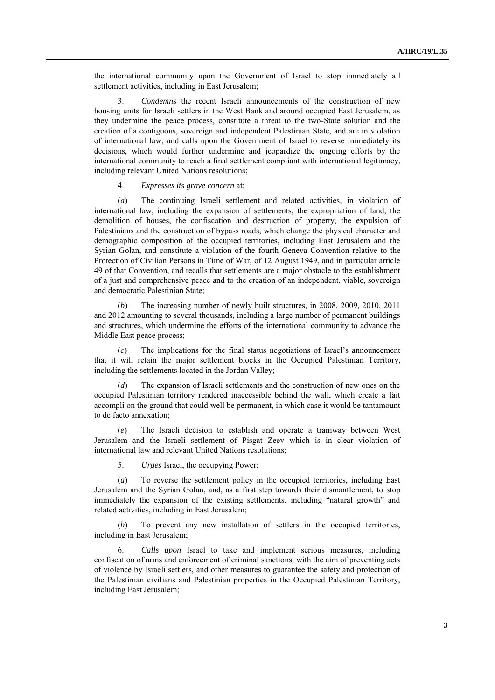the international community upon the Government of Israel to stop immediately all settlement activities, including in East Jerusalem;

3. *Condemns* the recent Israeli announcements of the construction of new housing units for Israeli settlers in the West Bank and around occupied East Jerusalem, as they undermine the peace process, constitute a threat to the two-State solution and the creation of a contiguous, sovereign and independent Palestinian State, and are in violation of international law, and calls upon the Government of Israel to reverse immediately its decisions, which would further undermine and jeopardize the ongoing efforts by the international community to reach a final settlement compliant with international legitimacy, including relevant United Nations resolutions;

## 4. *Expresses its grave concern* at:

(*a*) The continuing Israeli settlement and related activities, in violation of international law, including the expansion of settlements, the expropriation of land, the demolition of houses, the confiscation and destruction of property, the expulsion of Palestinians and the construction of bypass roads, which change the physical character and demographic composition of the occupied territories, including East Jerusalem and the Syrian Golan, and constitute a violation of the fourth Geneva Convention relative to the Protection of Civilian Persons in Time of War, of 12 August 1949, and in particular article 49 of that Convention, and recalls that settlements are a major obstacle to the establishment of a just and comprehensive peace and to the creation of an independent, viable, sovereign and democratic Palestinian State;

The increasing number of newly built structures, in 2008, 2009, 2010, 2011 and 2012 amounting to several thousands, including a large number of permanent buildings and structures, which undermine the efforts of the international community to advance the Middle East peace process;

(*c*) The implications for the final status negotiations of Israel's announcement that it will retain the major settlement blocks in the Occupied Palestinian Territory, including the settlements located in the Jordan Valley;

(*d*) The expansion of Israeli settlements and the construction of new ones on the occupied Palestinian territory rendered inaccessible behind the wall, which create a fait accompli on the ground that could well be permanent, in which case it would be tantamount to de facto annexation;

(*e*) The Israeli decision to establish and operate a tramway between West Jerusalem and the Israeli settlement of Pisgat Zeev which is in clear violation of international law and relevant United Nations resolutions;

5. *Urges* Israel, the occupying Power:

(*a*) To reverse the settlement policy in the occupied territories, including East Jerusalem and the Syrian Golan, and, as a first step towards their dismantlement, to stop immediately the expansion of the existing settlements, including "natural growth" and related activities, including in East Jerusalem;

(*b*) To prevent any new installation of settlers in the occupied territories, including in East Jerusalem;

6. *Calls upon* Israel to take and implement serious measures, including confiscation of arms and enforcement of criminal sanctions, with the aim of preventing acts of violence by Israeli settlers, and other measures to guarantee the safety and protection of the Palestinian civilians and Palestinian properties in the Occupied Palestinian Territory, including East Jerusalem;